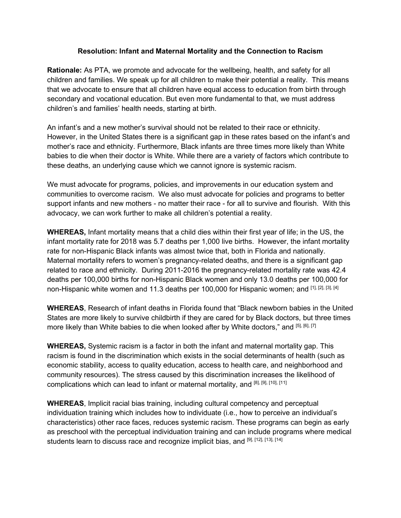## **Resolution: Infant and Maternal Mortality and the Connection to Racism**

**Rationale:** As PTA, we promote and advocate for the wellbeing, health, and safety for all children and families. We speak up for all children to make their potential a reality. This means that we advocate to ensure that all children have equal access to education from birth through secondary and vocational education. But even more fundamental to that, we must address children's and families' health needs, starting at birth.

An infant's and a new mother's survival should not be related to their race or ethnicity. However, in the United States there is a significant gap in these rates based on the infant's and mother's race and ethnicity. Furthermore, Black infants are three times more likely than White babies to die when their doctor is White. While there are a variety of factors which contribute to these deaths, an underlying cause which we cannot ignore is systemic racism.

We must advocate for programs, policies, and improvements in our education system and communities to overcome racism. We also must advocate for policies and programs to better support infants and new mothers - no matter their race - for all to survive and flourish. With this advocacy, we can work further to make all children's potential a reality.

**WHEREAS,** Infant mortality means that a child dies within their first year of life; in the US, the infant mortality rate for 2018 was 5.7 deaths per 1,000 live births. However, the infant mortality rate for non-Hispanic Black infants was almost twice that, both in Florida and nationally. Maternal mortality refers to women's pregnancy-related deaths, and there is a significant gap related to race and ethnicity. During 2011-2016 the pregnancy-related mortality rate was 42.4 deaths per 100,000 births for non-Hispanic Black women and only 13.0 deaths per 100,000 for non-Hispanic white women and 11.3 deaths per 100,000 for Hispanic women; and [1], [2], [3], [4]

**WHEREAS**, Research of infant deaths in Florida found that "Black newborn babies in the United States are more likely to survive childbirth if they are cared for by Black doctors, but three times more likely than White babies to die when looked after by White doctors," and [5], [6], [7]

**WHEREAS,** Systemic racism is a factor in both the infant and maternal mortality gap. This racism is found in the discrimination which exists in the social determinants of health (such as economic stability, access to quality education, access to health care, and neighborhood and community resources). The stress caused by this discrimination increases the likelihood of complications which can lead to infant or maternal mortality, and [8], [9], [10], [11]

**WHEREAS**, Implicit racial bias training, including cultural competency and perceptual individuation training which includes how to individuate (i.e., how to perceive an individual's characteristics) other race faces, reduces systemic racism. These programs can begin as early as preschool with the perceptual individuation training and can include programs where medical students learn to discuss race and recognize implicit bias, and [9], [12], [13], [14]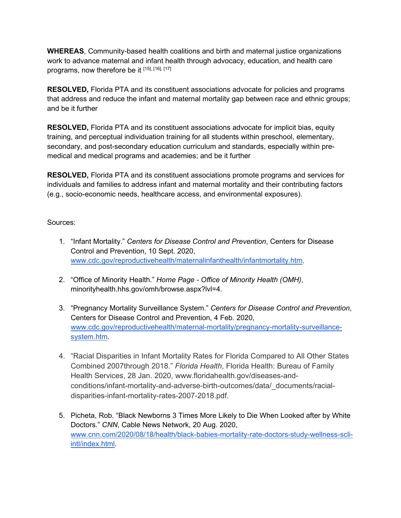**WHEREAS**, Community-based health coalitions and birth and maternal justice organizations work to advance maternal and infant health through advocacy, education, and health care programs, now therefore be it [15], [16], [17]

**RESOLVED,** Florida PTA and its constituent associations advocate for policies and programs that address and reduce the infant and maternal mortality gap between race and ethnic groups; and be it further

**RESOLVED,** Florida PTA and its constituent associations advocate for implicit bias, equity training, and perceptual individuation training for all students within preschool, elementary, secondary, and post-secondary education curriculum and standards, especially within premedical and medical programs and academies; and be it further

**RESOLVED,** Florida PTA and its constituent associations promote programs and services for individuals and families to address infant and maternal mortality and their contributing factors (e.g., socio-economic needs, healthcare access, and environmental exposures).

Sources:

- 1. "Infant Mortality." *Centers for Disease Control and Prevention*, Centers for Disease Control and Prevention, 10 Sept. 2020, [www.cdc.gov/reproductivehealth/maternalinfanthealth/infantmortality.htm.](http://www.cdc.gov/reproductivehealth/maternalinfanthealth/infantmortality.htm)
- 2. "Office of Minority Health." *Home Page - Office of Minority Health (OMH)*, minorityhealth.hhs.gov/omh/browse.aspx?lvl=4.
- 3. "Pregnancy Mortality Surveillance System." *Centers for Disease Control and Prevention*, Centers for Disease Control and Prevention, 4 Feb. 2020, [www.cdc.gov/reproductivehealth/maternal-mortality/pregnancy-mortality-surveillance](http://www.cdc.gov/reproductivehealth/maternal-mortality/pregnancy-mortality-surveillance-system.htm)[system.htm.](http://www.cdc.gov/reproductivehealth/maternal-mortality/pregnancy-mortality-surveillance-system.htm)
- 4. "Racial Disparities in Infant Mortality Rates for Florida Compared to All Other States Combined 2007through 2018." *Florida Health*, Florida Health: Bureau of Family Health Services, 28 Jan. 2020, www.floridahealth.gov/diseases-andconditions/infant-mortality-and-adverse-birth-outcomes/data/\_documents/racialdisparities-infant-mortality-rates-2007-2018.pdf.
- 5. Picheta, Rob. "Black Newborns 3 Times More Likely to Die When Looked after by White Doctors." *CNN*, Cable News Network, 20 Aug. 2020, [www.cnn.com/2020/08/18/health/black-babies-mortality-rate-doctors-study-wellness-scli](http://www.cnn.com/2020/08/18/health/black-babies-mortality-rate-doctors-study-wellness-scli-intl/index.html)[intl/index.html.](http://www.cnn.com/2020/08/18/health/black-babies-mortality-rate-doctors-study-wellness-scli-intl/index.html)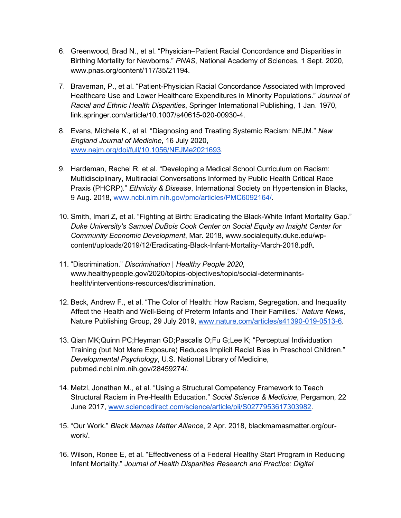- 6. Greenwood, Brad N., et al. "Physician–Patient Racial Concordance and Disparities in Birthing Mortality for Newborns." *PNAS*, National Academy of Sciences, 1 Sept. 2020, www.pnas.org/content/117/35/21194.
- 7. Braveman, P., et al. "Patient-Physician Racial Concordance Associated with Improved Healthcare Use and Lower Healthcare Expenditures in Minority Populations." *Journal of Racial and Ethnic Health Disparities*, Springer International Publishing, 1 Jan. 1970, link.springer.com/article/10.1007/s40615-020-00930-4.
- 8. Evans, Michele K., et al. "Diagnosing and Treating Systemic Racism: NEJM." *New England Journal of Medicine*, 16 July 2020, [www.nejm.org/doi/full/10.1056/NEJMe2021693.](http://www.nejm.org/doi/full/10.1056/NEJMe2021693)
- 9. Hardeman, Rachel R, et al. "Developing a Medical School Curriculum on Racism: Multidisciplinary, Multiracial Conversations Informed by Public Health Critical Race Praxis (PHCRP)." *Ethnicity & Disease*, International Society on Hypertension in Blacks, 9 Aug. 2018, [www.ncbi.nlm.nih.gov/pmc/articles/PMC6092164/.](http://www.ncbi.nlm.nih.gov/pmc/articles/PMC6092164/)
- 10. Smith, Imari Z, et al. "Fighting at Birth: Eradicating the Black-White Infant Mortality Gap." *Duke University's Samuel DuBois Cook Center on Social Equity an Insight Center for Community Economic Development*, Mar. 2018, www.socialequity.duke.edu/wpcontent/uploads/2019/12/Eradicating-Black-Infant-Mortality-March-2018.pdf\.
- 11. "Discrimination." *Discrimination | Healthy People 2020*, www.healthypeople.gov/2020/topics-objectives/topic/social-determinantshealth/interventions-resources/discrimination.
- 12. Beck, Andrew F., et al. "The Color of Health: How Racism, Segregation, and Inequality Affect the Health and Well-Being of Preterm Infants and Their Families." *Nature News*, Nature Publishing Group, 29 July 2019, [www.nature.com/articles/s41390-019-0513-6.](http://www.nature.com/articles/s41390-019-0513-6)
- 13. Qian MK;Quinn PC;Heyman GD;Pascalis O;Fu G;Lee K; "Perceptual Individuation Training (but Not Mere Exposure) Reduces Implicit Racial Bias in Preschool Children." *Developmental Psychology*, U.S. National Library of Medicine, pubmed.ncbi.nlm.nih.gov/28459274/.
- 14. Metzl, Jonathan M., et al. "Using a Structural Competency Framework to Teach Structural Racism in Pre-Health Education." *Social Science & Medicine*, Pergamon, 22 June 2017, [www.sciencedirect.com/science/article/pii/S0277953617303982.](http://www.sciencedirect.com/science/article/pii/S0277953617303982)
- 15. "Our Work." *Black Mamas Matter Alliance*, 2 Apr. 2018, blackmamasmatter.org/ourwork/.
- 16. Wilson, Ronee E, et al. "Effectiveness of a Federal Healthy Start Program in Reducing Infant Mortality." *Journal of Health Disparities Research and Practice: Digital*